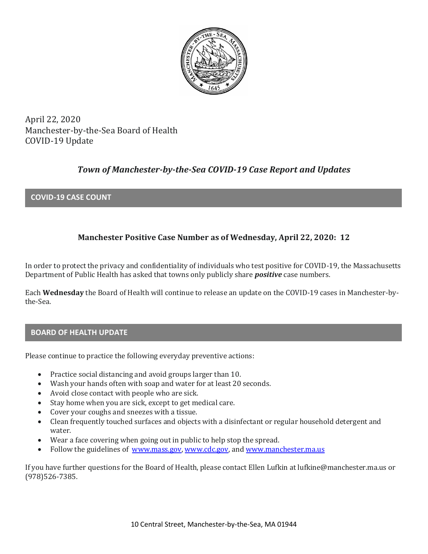

April 22, 2020 Manchester-by-the-Sea Board of Health COVID-19 Update

# *Town of Manchester-by-the-Sea COVID-19 Case Report and Updates*

## **COVID-19 CASE COUNT**

# **Manchester Positive Case Number as of Wednesday, April 22, 2020: 12**

In order to protect the privacy and confidentiality of individuals who test positive for COVID-19, the Massachusetts Department of Public Health has asked that towns only publicly share *positive* case numbers.

Each **Wednesday** the Board of Health will continue to release an update on the COVID-19 cases in Manchester-bythe-Sea.

#### **BOARD OF HEALTH UPDATE**

Please continue to practice the following everyday preventive actions:

- Practice social distancing and avoid groups larger than 10.
- Wash your hands often with soap and water for at least 20 seconds.
- Avoid close contact with people who are sick.
- Stay home when you are sick, except to get medical care.
- Cover your coughs and sneezes with a tissue.
- Clean frequently touched surfaces and objects with a disinfectant or regular household detergent and water.
- Wear a face covering when going out in public to help stop the spread.
- Follow the guidelines of [www.mass.gov,](https://www.mass.gov/) [www.cdc.gov,](https://www.cdc.gov/) and [www.manchester.ma.us](http://www.manchester.ma.us/)

If you have further questions for the Board of Health, please contact Ellen Lufkin at lufkine@manchester.ma.us or (978)526-7385.